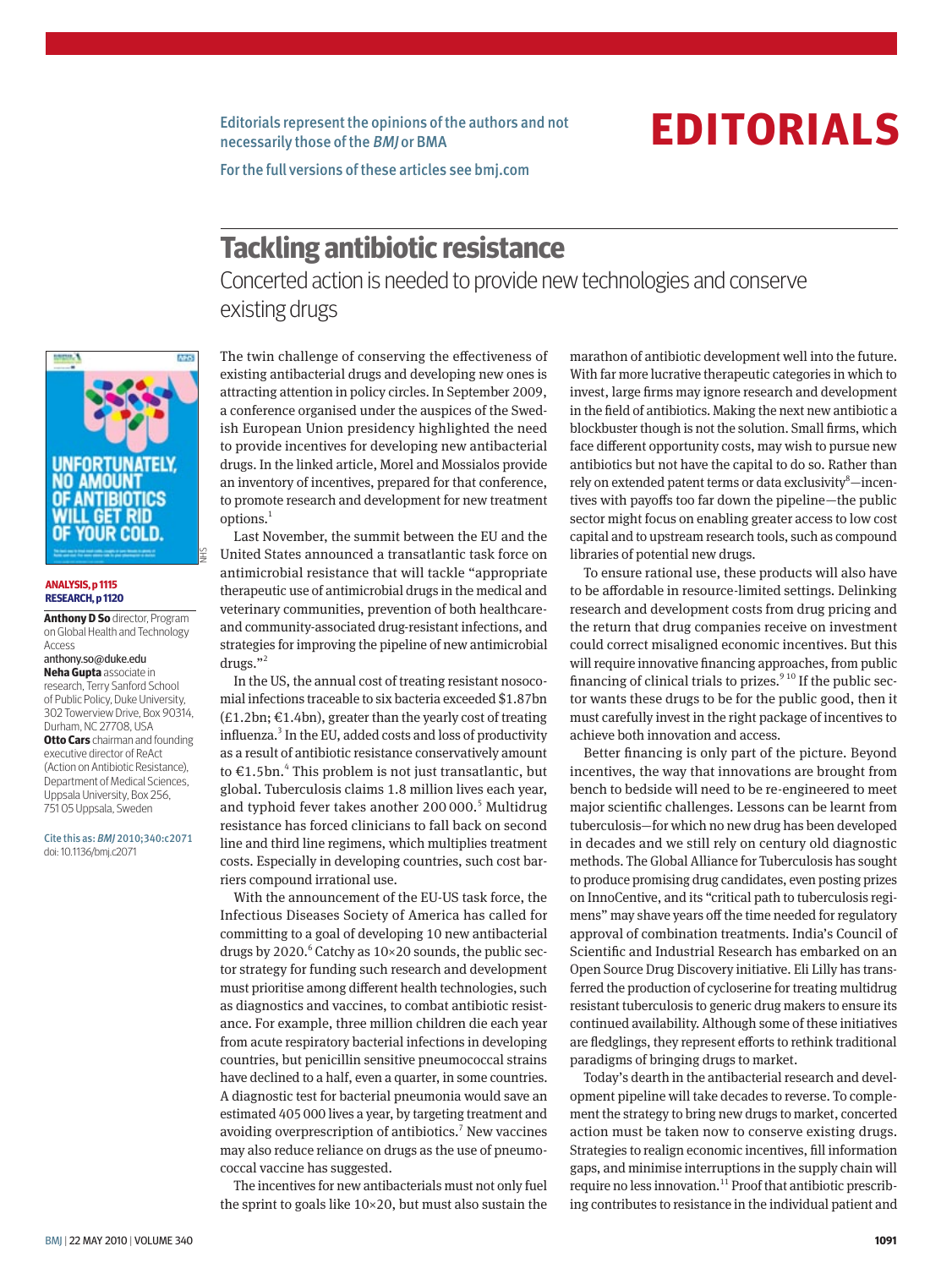Editorials represent the opinions of the authors and not **EDITORIALS** necessarily those of the BMJ or BMA

For the full versions of these articles see bmj.com

# **Tackling antibiotic resistance**

Concerted action is needed to provide new technologies and conserve existing drugs



#### **analysis, p 1115 Research, p 1120**

**Anthony D So** director, Program on Global Health and Technology Access

#### anthony.so@duke.edu **Neha Gupta** associate in

research, Terry Sanford School of Public Policy, Duke University, 302 Towerview Drive, Box 90314, Durham, NC 27708, USA **Otto Cars** chairman and founding executive director of ReAct (Action on Antibiotic Resistance), Department of Medical Sciences, Uppsala University, Box 256, 751 05 Uppsala, Sweden

Cite this as:*BMJ* 2010;340:c2071 doi: 10.1136/bmi.c2071

The twin challenge of conserving the effectiveness of existing antibacterial drugs and developing new ones is attracting attention in policy circles. In September 2009, a conference organised under the auspices of the Swedish European Union presidency highlighted the need to provide incentives for developing new antibacterial drugs. In the linked article, Morel and Mossialos provide an inventory of incentives, prepared for that conference, to promote research and development for new treatment options.1

Last November, the summit between the EU and the United States announced a transatlantic task force on antimicrobial resistance that will tackle "appropriate therapeutic use of antimicrobial drugs in the medical and veterinary communities, prevention of both healthcareand community-associated drug-resistant infections, and strategies for improving the pipeline of new antimicrobial drugs."2

In the US, the annual cost of treating resistant nosocomial infections traceable to six bacteria exceeded \$1.87bn (£1.2bn; €1.4bn), greater than the yearly cost of treating influenza.<sup>3</sup> In the EU, added costs and loss of productivity as a result of antibiotic resistance conservatively amount to  $\epsilon$ 1.5bn.<sup>4</sup> This problem is not just transatlantic, but global. Tuberculosis claims 1.8 million lives each year, and typhoid fever takes another 200 000.<sup>5</sup> Multidrug resistance has forced clinicians to fall back on second line and third line regimens, which multiplies treatment costs. Especially in developing countries, such cost barriers compound irrational use.

With the announcement of the EU-US task force, the Infectious Diseases Society of America has called for committing to a goal of developing 10 new antibacterial drugs by 2020. $^6$  Catchy as 10×20 sounds, the public sector strategy for funding such research and development must prioritise among different health technologies, such as diagnostics and vaccines, to combat antibiotic resistance. For example, three million children die each year from acute respiratory bacterial infections in developing countries, but penicillin sensitive pneumococcal strains have declined to a half, even a quarter, in some countries. A diagnostic test for bacterial pneumonia would save an estimated 405000 lives a year, by targeting treatment and avoiding overprescription of antibiotics.<sup>7</sup> New vaccines may also reduce reliance on drugs as the use of pneumococcal vaccine has suggested.

The incentives for new antibacterials must not only fuel the sprint to goals like 10×20, but must also sustain the

marathon of antibiotic development well into the future. With far more lucrative therapeutic categories in which to invest, large firms may ignore research and development in the field of antibiotics. Making the next new antibiotic a blockbuster though is not the solution. Small firms, which face different opportunity costs, may wish to pursue new antibiotics but not have the capital to do so. Rather than rely on extended patent terms or data exclusivity<sup>8</sup>-incentives with payoffs too far down the pipeline—the public sector might focus on enabling greater access to low cost capital and to upstream research tools, such as compound libraries of potential new drugs.

To ensure rational use, these products will also have to be affordable in resource-limited settings. Delinking research and development costs from drug pricing and the return that drug companies receive on investment could correct misaligned economic incentives. But this will require innovative financing approaches, from public financing of clinical trials to prizes. $910$  If the public sector wants these drugs to be for the public good, then it must carefully invest in the right package of incentives to achieve both innovation and access.

Better financing is only part of the picture. Beyond incentives, the way that innovations are brought from bench to bedside will need to be re-engineered to meet major scientific challenges. Lessons can be learnt from tuberculosis—for which no new drug has been developed in decades and we still rely on century old diagnostic methods. The Global Alliance for Tuberculosis has sought to produce promising drug candidates, even posting prizes on InnoCentive, and its "critical path to tuberculosis regimens" may shave years off the time needed for regulatory approval of combination treatments. India's Council of Scientific and Industrial Research has embarked on an Open Source Drug Discovery initiative. Eli Lilly has transferred the production of cycloserine for treating multidrug resistant tuberculosis to generic drug makers to ensure its continued availability. Although some of these initiatives are fledglings, they represent efforts to rethink traditional paradigms of bringing drugs to market.

Today's dearth in the antibacterial research and development pipeline will take decades to reverse. To complement the strategy to bring new drugs to market, concerted action must be taken now to conserve existing drugs. Strategies to realign economic incentives, fill information gaps, and minimise interruptions in the supply chain will require no less innovation.<sup>11</sup> Proof that antibiotic prescribing contributes to resistance in the individual patient and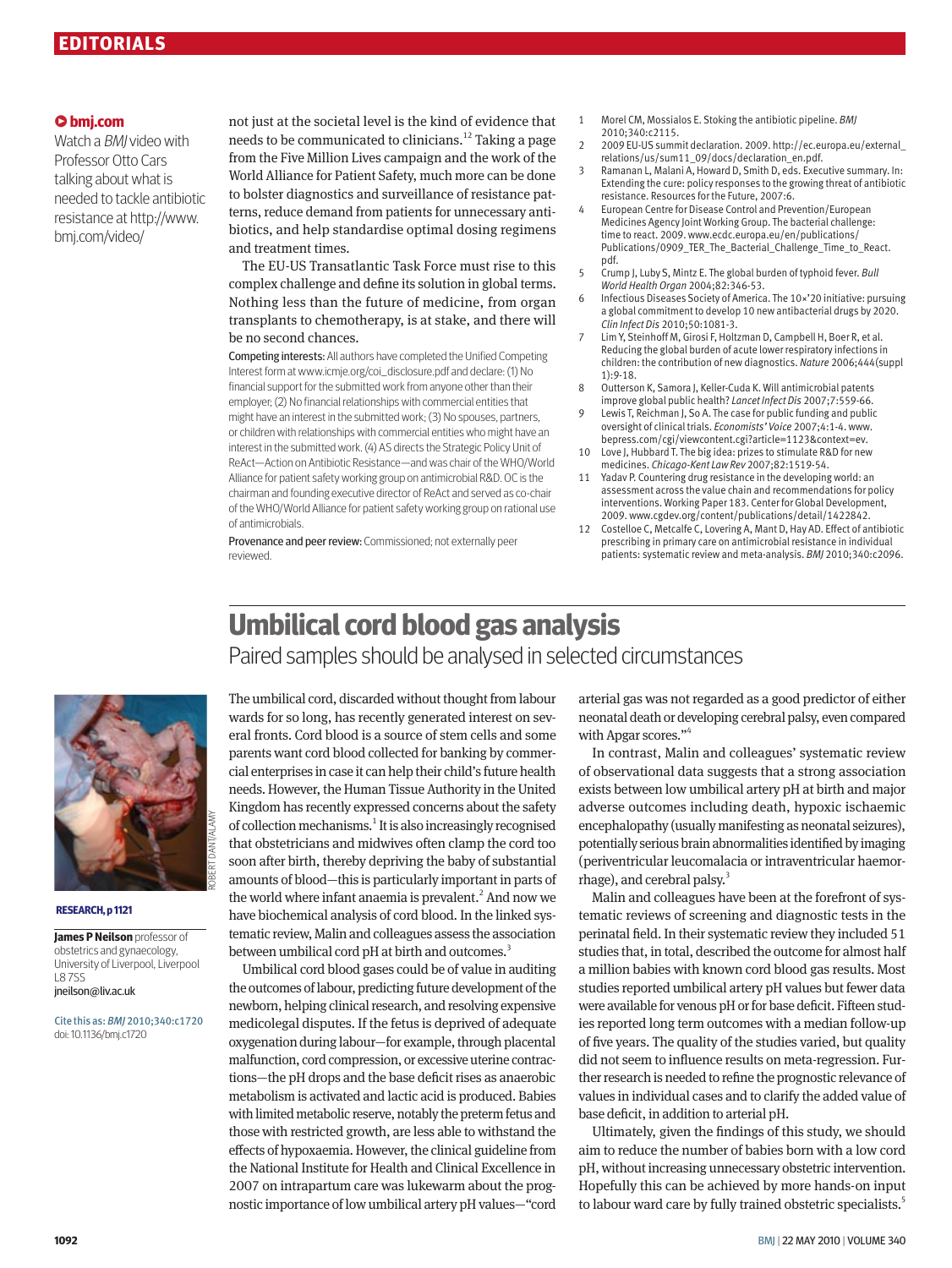### • **bmj.com**

Watch a BMJ video with Professor Otto Cars talking about what is needed to tackle antibiotic resistance at http://www. bmj.com/video/

not just at the societal level is the kind of evidence that needs to be communicated to clinicians.<sup>12</sup> Taking a page from the Five Million Lives campaign and the work of the World Alliance for Patient Safety, much more can be done to bolster diagnostics and surveillance of resistance patterns, reduce demand from patients for unnecessary antibiotics, and help standardise optimal dosing regimens and treatment times.

The EU-US Transatlantic Task Force must rise to this complex challenge and define its solution in global terms. Nothing less than the future of medicine, from organ transplants to chemotherapy, is at stake, and there will be no second chances.

Competing interests: All authors have completed the Unified Competing Interest form at www.icmje.org/coi\_disclosure.pdf and declare: (1) No financial support for the submitted work from anyone other than their employer; (2) No financial relationships with commercial entities that might have an interest in the submitted work; (3) No spouses, partners, or children with relationships with commercial entities who might have an interest in the submitted work. (4) AS directs the Strategic Policy Unit of ReAct—Action on Antibiotic Resistance—and was chair of the WHO/World Alliance for patient safety working group on antimicrobial R&D. OC is the chairman and founding executive director of ReAct and served as co-chair of the WHO/World Alliance for patient safety working group on rational use of antimicrobials.

Provenance and peer review: Commissioned; not externally peer reviewed.

- 1 Morel CM, Mossialos E. Stoking the antibiotic pipeline. *BMJ* 2010;340:c2115.
- 2 2009 EU-US summit declaration. 2009. http://ec.europa.eu/external\_ relations/us/sum11\_09/docs/declaration\_en.pdf.
- 3 Ramanan L, Malani A, Howard D, Smith D, eds. Executive summary. In: Extending the cure: policy responses to the growing threat of antibiotic resistance. Resources for the Future, 2007:6.
- 4 European Centre for Disease Control and Prevention/European Medicines Agency Joint Working Group. The bacterial challenge: time to react. 2009. www.ecdc.europa.eu/en/publications/ Publications/0909\_TER\_The\_Bacterial\_Challenge\_Time\_to\_React. pdf.
- 5 Crump J, Luby S, Mintz E. The global burden of typhoid fever. *Bull World Health Organ* 2004;82:346-53.
- 6 Infectious Diseases Society of America. The 10×'20 initiative: pursuing a global commitment to develop 10 new antibacterial drugs by 2020. *Clin Infect Dis* 2010;50:1081-3.
- Lim Y, Steinhoff M, Girosi F, Holtzman D, Campbell H, Boer R, et al. Reducing the global burden of acute lower respiratory infections in children: the contribution of new diagnostics. *Nature* 2006;444(suppl 1):9-18.
- 8 Outterson K, Samora J, Keller-Cuda K. Will antimicrobial patents improve global public health? *Lancet Infect Dis* 2007;7:559-66.
- 9 Lewis T, Reichman J, So A. The case for public funding and public oversight of clinical trials. *Economists' Voice* 2007;4:1-4. www. bepress.com/cgi/viewcontent.cgi?article=1123&context=ev.
- 10 Love J, Hubbard T. The big idea: prizes to stimulate R&D for new medicines. *Chicago-Kent Law Rev* 2007;82:1519-54.
- 11 Yadav P. Countering drug resistance in the developing world: an assessment across the value chain and recommendations for policy interventions. Working Paper 183. Center for Global Development, 2009. www.cgdev.org/content/publications/detail/1422842.
- 12 Costelloe C, Metcalfe C, Lovering A, Mant D, Hay AD. Effect of antibiotic prescribing in primary care on antimicrobial resistance in individual patients: systematic review and meta-analysis. *BMJ* 2010;340:c2096.

# **Umbilical cord blood gas analysis** Paired samples should be analysed in selected circumstances



#### **Research, p 1121**

**James P Neilson** professor of obstetrics and gynaecology, University of Liverpool, Liverpool L8 7SS jneilson@liv.ac.uk

Cite this as: *BMJ* 2010;340:c1720 doi: 10.1136/bmj.c1720

The umbilical cord, discarded without thought from labour wards for so long, has recently generated interest on several fronts. Cord blood is a source of stem cells and some parents want cord blood collected for banking by commercial enterprises in case it can help their child's future health needs. However, the Human Tissue Authority in the United Kingdom has recently expressed concerns about the safety of collection mechanisms.<sup>1</sup> It is also increasingly recognised that obstetricians and midwives often clamp the cord too soon after birth, thereby depriving the baby of substantial amounts of blood—this is particularly important in parts of the world where infant anaemia is prevalent.<sup>2</sup> And now we have biochemical analysis of cord blood. In the linked systematic review, Malin and colleagues assess the association between umbilical cord pH at birth and outcomes.<sup>3</sup>

Umbilical cord blood gases could be of value in auditing the outcomes of labour, predicting future development of the newborn, helping clinical research, and resolving expensive medicolegal disputes. If the fetus is deprived of adequate oxygenation during labour—for example, through placental malfunction, cord compression, or excessive uterine contractions—the pH drops and the base deficit rises as anaerobic metabolism is activated and lactic acid is produced. Babies with limited metabolic reserve, notably the preterm fetus and those with restricted growth, are less able to withstand the effects of hypoxaemia. However, the clinical guideline from the National Institute for Health and Clinical Excellence in 2007 on intrapartum care was lukewarm about the prognostic importance of low umbilical artery pH values—"cord arterial gas was not regarded as a good predictor of either neonatal death or developing cerebral palsy, even compared with Apgar scores."<sup>4</sup>

In contrast, Malin and colleagues' systematic review of observational data suggests that a strong association exists between low umbilical artery pH at birth and major adverse outcomes including death, hypoxic ischaemic encephalopathy (usually manifesting as neonatal seizures), potentially serious brain abnormalities identified by imaging (periventricular leucomalacia or intraventricular haemorrhage), and cerebral palsy.3

Malin and colleagues have been at the forefront of systematic reviews of screening and diagnostic tests in the perinatal field. In their systematic review they included 51 studies that, in total, described the outcome for almost half a million babies with known cord blood gas results. Most studies reported umbilical artery pH values but fewer data were available for venous pH or for base deficit. Fifteen studies reported long term outcomes with a median follow-up of five years. The quality of the studies varied, but quality did not seem to influence results on meta-regression. Further research is needed to refine the prognostic relevance of values in individual cases and to clarify the added value of base deficit, in addition to arterial pH.

Ultimately, given the findings of this study, we should aim to reduce the number of babies born with a low cord pH, without increasing unnecessary obstetric intervention. Hopefully this can be achieved by more hands-on input to labour ward care by fully trained obstetric specialists.<sup>5</sup>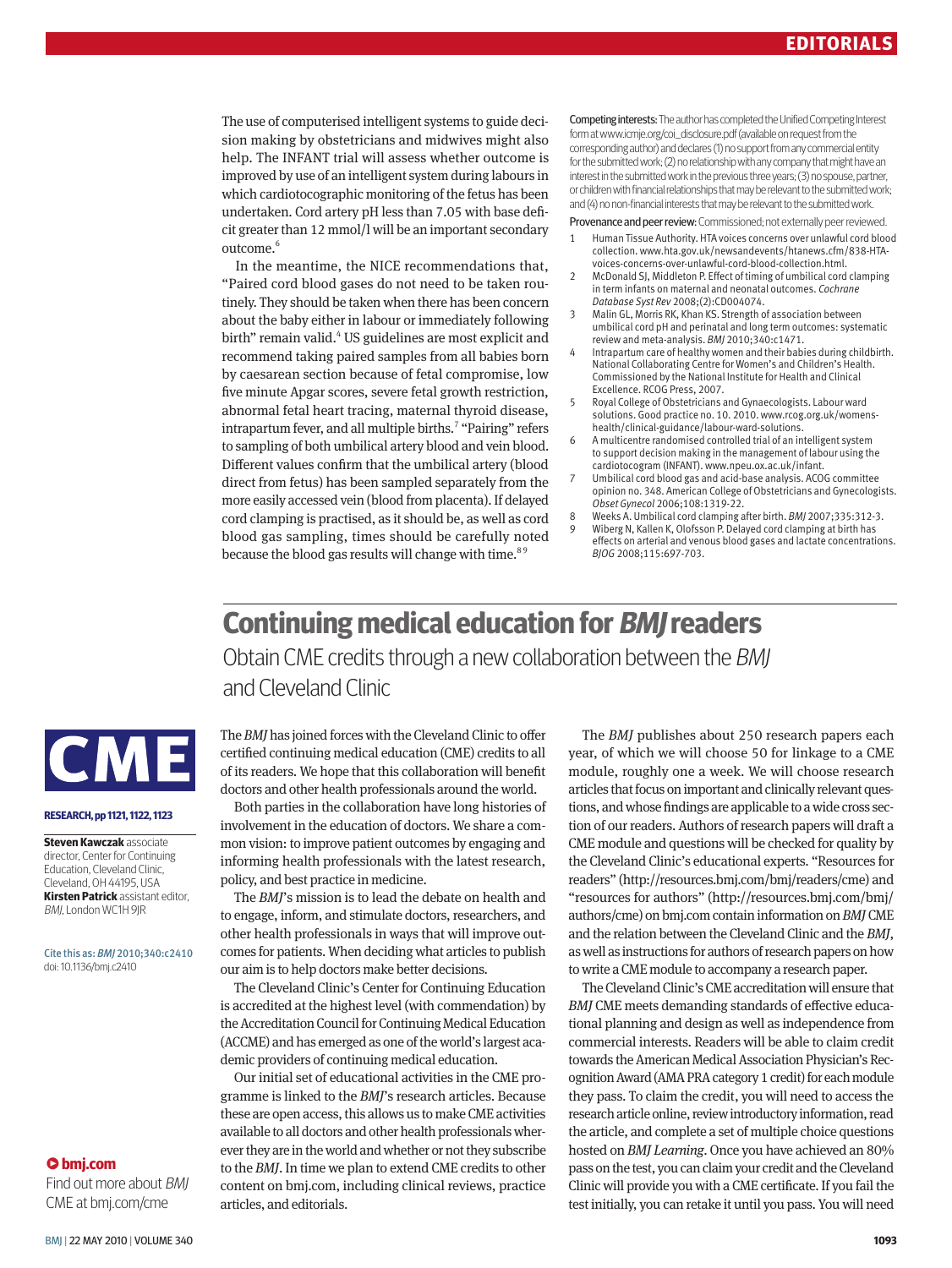The use of computerised intelligent systems to guide decision making by obstetricians and midwives might also help. The INFANT trial will assess whether outcome is improved by use of an intelligent system during labours in which cardiotocographic monitoring of the fetus has been undertaken. Cord artery pH less than 7.05 with base deficit greater than 12 mmol/l will be an important secondary outcome.<sup>6</sup>

In the meantime, the NICE recommendations that, "Paired cord blood gases do not need to be taken routinely. They should be taken when there has been concern about the baby either in labour or immediately following birth" remain valid.<sup>4</sup> US guidelines are most explicit and recommend taking paired samples from all babies born by caesarean section because of fetal compromise, low five minute Apgar scores, severe fetal growth restriction, abnormal fetal heart tracing, maternal thyroid disease, intrapartum fever, and all multiple births.<sup>7</sup> "Pairing" refers to sampling of both umbilical artery blood and vein blood. Different values confirm that the umbilical artery (blood direct from fetus) has been sampled separately from the more easily accessed vein (blood from placenta). If delayed cord clamping is practised, as it should be, as well as cord blood gas sampling, times should be carefully noted because the blood gas results will change with time.<sup>89</sup>

Competing interests: The author has completed the Unified Competing Interest form at www.icmje.org/coi\_disclosure.pdf (available on request from the corresponding author) and declares (1) no support from any commercial entity for the submitted work; (2) no relationship with any company that might have an interest in the submitted work in the previous three years; (3) no spouse, partner, or children with financial relationships that may be relevant to the submitted work; and (4) no non-financial interests that may be relevant to the submitted work.

Provenance and peer review: Commissioned; not externally peer reviewed.

- 1 Human Tissue Authority. HTA voices concerns over unlawful cord blood collection. www.hta.gov.uk/newsandevents/htanews.cfm/838-HTAvoices-concerns-over-unlawful-cord-blood-collection.html.
- 2 McDonald SJ, Middleton P. Effect of timing of umbilical cord clamping in term infants on maternal and neonatal outcomes. *Cochrane Database Syst Rev* 2008;(2):CD004074.
- 3 Malin GL, Morris RK, Khan KS. Strength of association between umbilical cord pH and perinatal and long term outcomes: systematic review and meta-analysis. *BMJ* 2010;340:c1471.
- 4 Intrapartum care of healthy women and their babies during childbirth. National Collaborating Centre for Women's and Children's Health. Commissioned by the National Institute for Health and Clinical Excellence. RCOG Press, 2007.
- 5 Royal College of Obstetricians and Gynaecologists. Labour ward solutions. Good practice no. 10. 2010. www.rcog.org.uk/womenshealth/clinical-guidance/labour-ward-solutions.
- 6 A multicentre randomised controlled trial of an intelligent system to support decision making in the management of labour using the cardiotocogram (INFANT). www.npeu.ox.ac.uk/infant.
- 7 Umbilical cord blood gas and acid-base analysis. ACOG committee opinion no. 348. American College of Obstetricians and Gynecologists. *Obset Gynecol* 2006;108:1319-22.
- 8 Weeks A. Umbilical cord clamping after birth. *BMJ* 2007;335:312-3. Wiberg N, Kallen K, Olofsson P. Delayed cord clamping at birth has
- effects on arterial and venous blood gases and lactate concentrations. *BJOG* 2008;115:697-703.

# **Continuing medical education for BMJ readers**

Obtain CME credits through a new collaboration between the BMJ and Cleveland Clinic



### **Research, pp 1121, 1122, 1123**

**Steven Kawczak** associate director, Center for Continuing Education, Cleveland Clinic, Cleveland, OH 44195, USA **Kirsten Patrick** assistant editor, BMJ, London WC1H 9JR

Cite this as: *BMJ* 2010;340:c2410 doi: 10.1136/bmj.c2410

### • **bmj.com**

Find out more about BMJ CME at bmj.com/cme

The *BMJ* has joined forces with the Cleveland Clinic to offer certified continuing medical education (CME) credits to all of its readers. We hope that this collaboration will benefit doctors and other health professionals around the world.

Both parties in the collaboration have long histories of involvement in the education of doctors. We share a common vision: to improve patient outcomes by engaging and informing health professionals with the latest research, policy, and best practice in medicine.

The *BMJ*'s mission is to lead the debate on health and to engage, inform, and stimulate doctors, researchers, and other health professionals in ways that will improve outcomes for patients. When deciding what articles to publish our aim is to help doctors make better decisions.

The Cleveland Clinic's Center for Continuing Education is accredited at the highest level (with commendation) by the Accreditation Council for Continuing Medical Education (ACCME) and has emerged as one of the world's largest academic providers of continuing medical education.

Our initial set of educational activities in the CME programme is linked to the *BMJ*'s research articles. Because these are open access, this allows us to make CME activities available to all doctors and other health professionals wherever they are in the world and whether or not they subscribe to the *BMJ*. In time we plan to extend CME credits to other content on bmj.com, including clinical reviews, practice articles, and editorials.

The *BMJ* publishes about 250 research papers each year, of which we will choose 50 for linkage to a CME module, roughly one a week. We will choose research articles that focus on important and clinically relevant questions, and whose findings are applicable to a wide cross section of our readers. Authors of research papers will draft a CME module and questions will be checked for quality by the Cleveland Clinic's educational experts. "Resources for readers" (http://resources.bmj.com/bmj/readers/cme) and "resources for authors" (http://resources.bmj.com/bmj/ authors/cme) on bmj.com contain information on *BMJ* CME and the relation between the Cleveland Clinic and the *BMJ*, as well as instructions for authors of research papers on how to write a CME module to accompany a research paper.

The Cleveland Clinic's CME accreditation will ensure that *BMJ* CME meets demanding standards of effective educational planning and design as well as independence from commercial interests. Readers will be able to claim credit towards the American Medical Association Physician's Recognition Award (AMA PRA category 1 credit) for each module they pass. To claim the credit, you will need to access the research article online, review introductory information, read the article, and complete a set of multiple choice questions hosted on *BMJ Learning*. Once you have achieved an 80% pass on the test, you can claim your credit and the Cleveland Clinic will provide you with a CME certificate. If you fail the test initially, you can retake it until you pass. You will need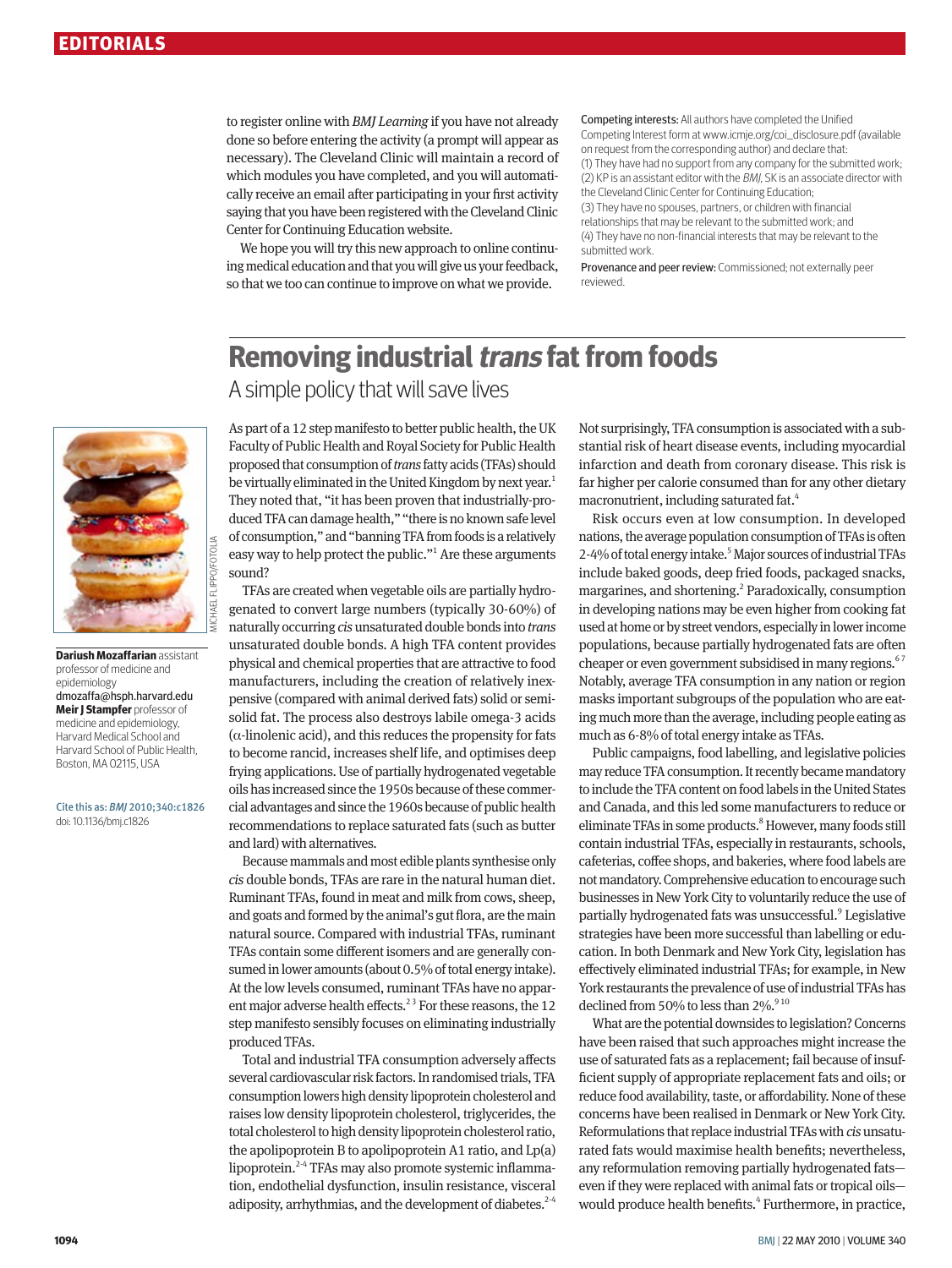to register online with *BMJ Learning* if you have not already done so before entering the activity (a prompt will appear as necessary). The Cleveland Clinic will maintain a record of which modules you have completed, and you will automatically receive an email after participating in your first activity saying that you have been registered with the Cleveland Clinic Center for Continuing Education website.

We hope you will try this new approach to online continuing medical education and that you will give us your feedback, so that we too can continue to improve on what we provide.

Competing interests: All authors have completed the Unified Competing Interest form at www.icmje.org/coi\_disclosure.pdf (available on request from the corresponding author) and declare that: (1) They have had no support from any company for the submitted work; (2) KP is an assistant editor with the BMJ, SK is an associate director with the Cleveland Clinic Center for Continuing Education;

(3) They have no spouses, partners, or children with financial relationships that may be relevant to the submitted work; and (4) They have no non-financial interests that may be relevant to the submitted work.

Provenance and peer review: Commissioned; not externally peer reviewed.

# **Removing industrial trans fat from foods** A simple policy that will save lives

HAEL FLIPPO/FOTOLIA michael flippo/fotolia

**Dariush Mozaffarian** assistant professor of medicine and epidemiology dmozaffa@hsph.harvard.edu **Meir J Stampfer** professor of medicine and epidemiology, Harvard Medical School and Harvard School of Public Health, Boston, MA 02115, USA

Cite this as: *BMJ* 2010;340:c1826 doi: 10.1136/bmj.c1826

As part of a 12 step manifesto to better public health, the UK Faculty of Public Health and Royal Society for Public Health proposed that consumption of *trans* fatty acids (TFAs) should be virtually eliminated in the United Kingdom by next year.<sup>1</sup> They noted that, "it has been proven that industrially-produced TFA can damage health," "there is no known safe level of consumption," and "banning TFA from foods is a relatively easy way to help protect the public."<sup>1</sup> Are these arguments sound?

TFAs are created when vegetable oils are partially hydrogenated to convert large numbers (typically 30-60%) of naturally occurring *cis* unsaturated double bonds into *trans* unsaturated double bonds. A high TFA content provides physical and chemical properties that are attractive to food manufacturers, including the creation of relatively inexpensive (compared with animal derived fats) solid or semisolid fat. The process also destroys labile omega-3 acids (α-linolenic acid), and this reduces the propensity for fats to become rancid, increases shelf life, and optimises deep frying applications. Use of partially hydrogenated vegetable oils has increased since the 1950s because of these commercial advantages and since the 1960s because of public health recommendations to replace saturated fats (such as butter and lard) with alternatives.

Because mammals and most edible plants synthesise only *cis* double bonds, TFAs are rare in the natural human diet. Ruminant TFAs, found in meat and milk from cows, sheep, and goats and formed by the animal's gut flora, are the main natural source. Compared with industrial TFAs, ruminant TFAs contain some different isomers and are generally consumed in lower amounts (about 0.5% of total energy intake). At the low levels consumed, ruminant TFAs have no apparent major adverse health effects.<sup>23</sup> For these reasons, the  $12$ step manifesto sensibly focuses on eliminating industrially produced TFAs.

Total and industrial TFA consumption adversely affects several cardiovascular risk factors. In randomised trials, TFA consumption lowers high density lipoprotein cholesterol and raises low density lipoprotein cholesterol, triglycerides, the total cholesterol to high density lipoprotein cholesterol ratio, the apolipoprotein B to apolipoprotein A1 ratio, and Lp(a) lipoprotein.<sup>2-4</sup> TFAs may also promote systemic inflammation, endothelial dysfunction, insulin resistance, visceral adiposity, arrhythmias, and the development of diabetes. $2-4$  Not surprisingly, TFA consumption is associated with a substantial risk of heart disease events, including myocardial infarction and death from coronary disease. This risk is far higher per calorie consumed than for any other dietary macronutrient, including saturated fat.<sup>4</sup>

Risk occurs even at low consumption. In developed nations, the average population consumption of TFAs is often 2-4% of total energy intake.<sup>5</sup> Major sources of industrial TFAs include baked goods, deep fried foods, packaged snacks, margarines, and shortening.<sup>2</sup> Paradoxically, consumption in developing nations may be even higher from cooking fat used at home or by street vendors, especially in lower income populations, because partially hydrogenated fats are often cheaper or even government subsidised in many regions.<sup>67</sup> Notably, average TFA consumption in any nation or region masks important subgroups of the population who are eating much more than the average, including people eating as much as 6-8% of total energy intake as TFAs.

Public campaigns, food labelling, and legislative policies may reduce TFA consumption. It recently became mandatory to include the TFA content on food labels in the United States and Canada, and this led some manufacturers to reduce or eliminate TFAs in some products.<sup>8</sup> However, many foods still contain industrial TFAs, especially in restaurants, schools, cafeterias, coffee shops, and bakeries, where food labels are not mandatory. Comprehensive education to encourage such businesses in New York City to voluntarily reduce the use of partially hydrogenated fats was unsuccessful.<sup>9</sup> Legislative strategies have been more successful than labelling or education. In both Denmark and New York City, legislation has effectively eliminated industrial TFAs; for example, in New York restaurants the prevalence of use of industrial TFAs has declined from 50% to less than 2%.<sup>910</sup>

What are the potential downsides to legislation? Concerns have been raised that such approaches might increase the use of saturated fats as a replacement; fail because of insufficient supply of appropriate replacement fats and oils; or reduce food availability, taste, or affordability. None of these concerns have been realised in Denmark or New York City. Reformulations that replace industrial TFAs with *cis* unsaturated fats would maximise health benefits; nevertheless, any reformulation removing partially hydrogenated fats even if they were replaced with animal fats or tropical oils would produce health benefits.<sup>4</sup> Furthermore, in practice,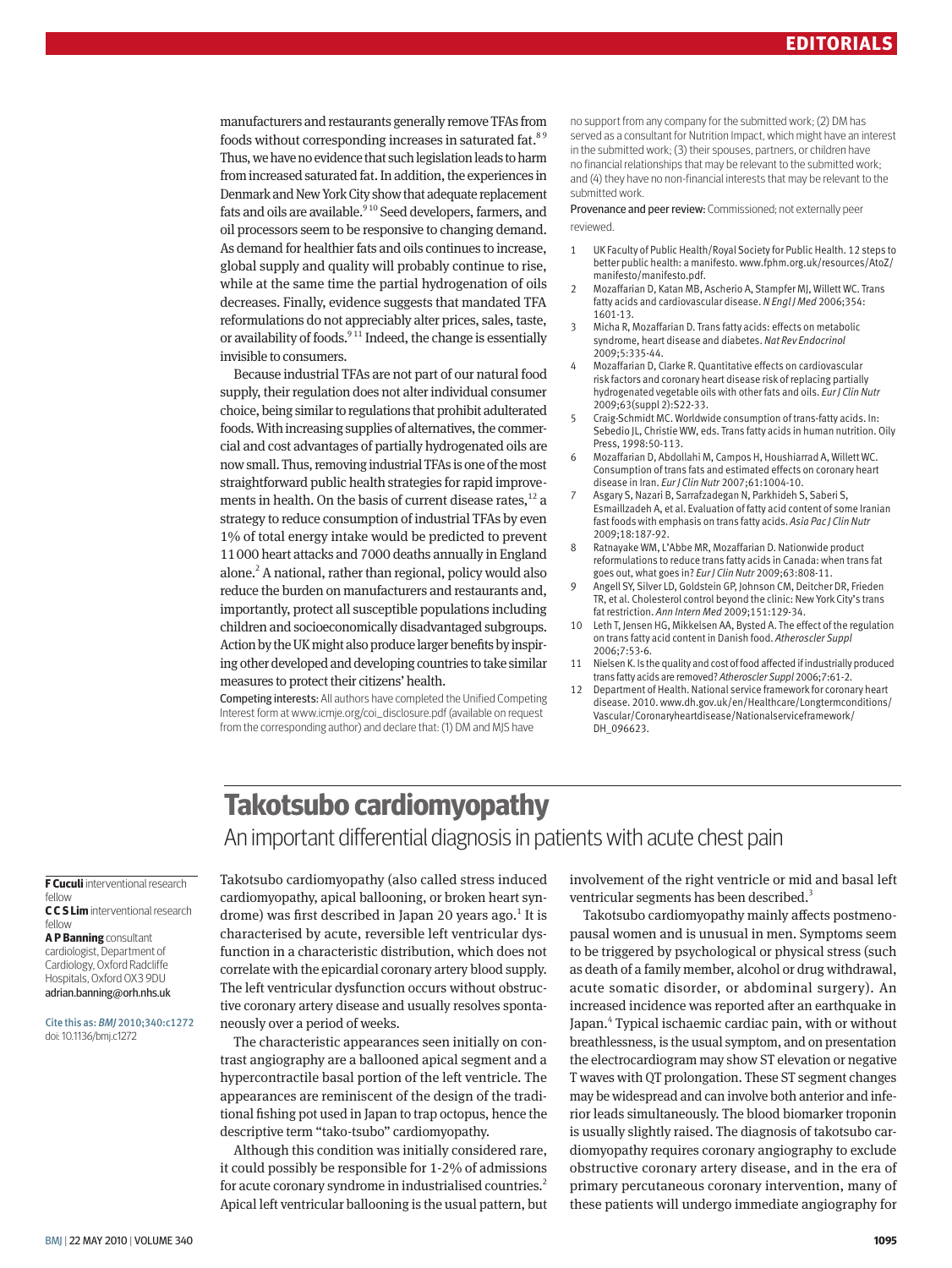manufacturers and restaurants generally remove TFAs from foods without corresponding increases in saturated fat.<sup>89</sup> Thus, we have no evidence that such legislation leads to harm from increased saturated fat. In addition, the experiences in Denmark and New York City show that adequate replacement fats and oils are available.<sup>910</sup> Seed developers, farmers, and oil processors seem to be responsive to changing demand. As demand for healthier fats and oils continues to increase, global supply and quality will probably continue to rise, while at the same time the partial hydrogenation of oils decreases. Finally, evidence suggests that mandated TFA reformulations do not appreciably alter prices, sales, taste, or availability of foods. $911$  Indeed, the change is essentially invisible to consumers.

Because industrial TFAs are not part of our natural food supply, their regulation does not alter individual consumer choice, being similar to regulations that prohibit adulterated foods. With increasing supplies of alternatives, the commercial and cost advantages of partially hydrogenated oils are now small. Thus, removing industrial TFAs is one of the most straightforward public health strategies for rapid improvements in health. On the basis of current disease rates,  $12$  a strategy to reduce consumption of industrial TFAs by even 1% of total energy intake would be predicted to prevent 11000 heart attacks and 7000 deaths annually in England alone.<sup>2</sup> A national, rather than regional, policy would also reduce the burden on manufacturers and restaurants and, importantly, protect all susceptible populations including children and socioeconomically disadvantaged subgroups. Action by the UK might also produce larger benefits by inspiring other developed and developing countries to take similar measures to protect their citizens' health.

Competing interests: All authors have completed the Unified Competing Interest form at www.icmje.org/coi\_disclosure.pdf (available on request from the corresponding author) and declare that: (1) DM and MJS have

no support from any company for the submitted work; (2) DM has served as a consultant for Nutrition Impact, which might have an interest in the submitted work; (3) their spouses, partners, or children have no financial relationships that may be relevant to the submitted work; and (4) they have no non-financial interests that may be relevant to the submitted work.

Provenance and peer review: Commissioned; not externally peer reviewed.

- 1 UK Faculty of Public Health/Royal Society for Public Health. 12 steps to better public health: a manifesto. www.fphm.org.uk/resources/AtoZ/ manifesto/manifesto.pdf.
- 2 Mozaffarian D, Katan MB, Ascherio A, Stampfer MJ, Willett WC. Trans fatty acids and cardiovascular disease. *N Engl J Med* 2006;354: 1601-13.
- 3 Micha R, Mozaffarian D. Trans fatty acids: effects on metabolic syndrome, heart disease and diabetes. *Nat Rev Endocrinol* 2009;5:335-44.
- 4 Mozaffarian D, Clarke R. Quantitative effects on cardiovascular risk factors and coronary heart disease risk of replacing partially hydrogenated vegetable oils with other fats and oils. *Eur J Clin Nutr* 2009;63(suppl 2):S22-33.
- 5 Craig-Schmidt MC. Worldwide consumption of trans-fatty acids. In: Sebedio JL, Christie WW, eds. Trans fatty acids in human nutrition. Oily Press, 1998:50-113.
- 6 Mozaffarian D, Abdollahi M, Campos H, Houshiarrad A, Willett WC. Consumption of trans fats and estimated effects on coronary heart disease in Iran. *Eur J Clin Nutr* 2007;61:1004-10.
- 7 Asgary S, Nazari B, Sarrafzadegan N, Parkhideh S, Saberi S, Esmaillzadeh A, et al. Evaluation of fatty acid content of some Iranian fast foods with emphasis on trans fatty acids. *Asia Pac J Clin Nutr* 2009;18:187-92.
- 8 Ratnayake WM, L'Abbe MR, Mozaffarian D. Nationwide product reformulations to reduce trans fatty acids in Canada: when trans fat goes out, what goes in? *Eur J Clin Nutr* 2009;63:808-11.
- 9 Angell SY, Silver LD, Goldstein GP, Johnson CM, Deitcher DR, Frieden TR, et al. Cholesterol control beyond the clinic: New York City's trans fat restriction. *Ann Intern Med* 2009;151:129-34.
- 10 Leth T, Jensen HG, Mikkelsen AA, Bysted A. The effect of the regulation on trans fatty acid content in Danish food. *Atheroscler Suppl* 2006;7:53-6.
- 11 Nielsen K. Is the quality and cost of food affected if industrially produced trans fatty acids are removed? *Atheroscler Suppl* 2006;7:61-2.
- 12 Department of Health. National service framework for coronary heart disease. 2010. www.dh.gov.uk/en/Healthcare/Longtermconditions/ Vascular/Coronaryheartdisease/Nationalserviceframework/ DH 096623.

# **Takotsubo cardiomyopathy** An important differential diagnosis in patients with acute chest pain

**F Cuculi** interventional research fellow **C C S Lim** interventional research fellow **A P Banning** consultant cardiologist, Department of Cardiology, Oxford Radcliffe Hospitals, Oxford OX3 9DU adrian.banning@orh.nhs.uk

Cite this as: *BMJ* 2010;340:c1272 doi: 10.1136/bmj.c1272

Takotsubo cardiomyopathy (also called stress induced cardiomyopathy, apical ballooning, or broken heart syndrome) was first described in Japan 20 years ago.<sup>1</sup> It is characterised by acute, reversible left ventricular dysfunction in a characteristic distribution, which does not correlate with the epicardial coronary artery blood supply. The left ventricular dysfunction occurs without obstructive coronary artery disease and usually resolves spontaneously over a period of weeks.

The characteristic appearances seen initially on contrast angiography are a ballooned apical segment and a hypercontractile basal portion of the left ventricle. The appearances are reminiscent of the design of the traditional fishing pot used in Japan to trap octopus, hence the descriptive term "tako-tsubo" cardiomyopathy.

Although this condition was initially considered rare, it could possibly be responsible for 1-2% of admissions for acute coronary syndrome in industrialised countries.<sup>2</sup> Apical left ventricular ballooning is the usual pattern, but involvement of the right ventricle or mid and basal left ventricular segments has been described.<sup>3</sup>

Takotsubo cardiomyopathy mainly affects postmenopausal women and is unusual in men. Symptoms seem to be triggered by psychological or physical stress (such as death of a family member, alcohol or drug withdrawal, acute somatic disorder, or abdominal surgery). An increased incidence was reported after an earthquake in Japan.<sup>4</sup> Typical ischaemic cardiac pain, with or without breathlessness, is the usual symptom, and on presentation the electrocardiogram may show ST elevation or negative T waves with QT prolongation. These ST segment changes may be widespread and can involve both anterior and inferior leads simultaneously. The blood biomarker troponin is usually slightly raised. The diagnosis of takotsubo cardiomyopathy requires coronary angiography to exclude obstructive coronary artery disease, and in the era of primary percutaneous coronary intervention, many of these patients will undergo immediate angiography for